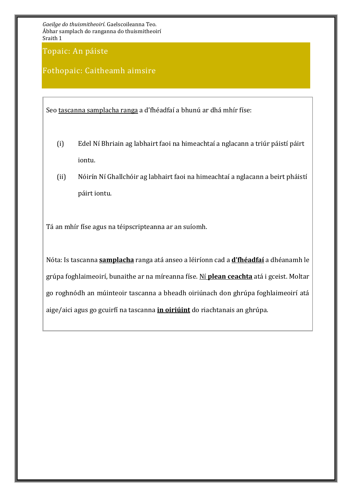Topaic: An páiste

## Fothopaic: Caitheamh aimsire

Seo tascanna samplacha ranga a d'fhéadfaí a bhunú ar dhá mhír físe:

- (i) Edel Ní Bhriain ag labhairt faoi na himeachtaí a nglacann a triúr páistí páirt iontu.
- (ii) Nóirín Ní Ghallchóir ag labhairt faoi na himeachtaí a nglacann a beirt pháistí páirt iontu.

Tá an mhír físe agus na téipscripteanna ar an suíomh.

Nóta: Is tascanna **samplacha** ranga atá anseo a léiríonn cad a **d'fhéadfaí** a dhéanamh le grúpa foghlaimeoirí, bunaithe ar na míreanna físe. Ní **plean ceachta** atá i gceist. Moltar go roghnódh an múinteoir tascanna a bheadh oiriúnach don ghrúpa foghlaimeoirí atá aige/aici agus go gcuirfí na tascanna **in oiriúint** do riachtanais an ghrúpa.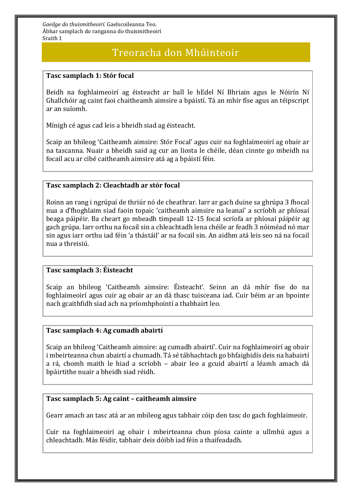## Treoracha don Mhúinteoir

### **Tasc samplach 1: Stór focal**

Beidh na foghlaimeoirí ag éisteacht ar ball le hEdel Ní Bhriain agus le Nóirín Ní Ghallchóir ag caint faoi chaitheamh aimsire a bpáistí. Tá an mhír físe agus an téipscript ar an suíomh.

Mínigh cé agus cad leis a bheidh siad ag éisteacht.

Scaip an bhileog 'Caitheamh aimsire: Stór Focal' agus cuir na foghlaimeoirí ag obair ar na tascanna. Nuair a bheidh said ag cur an liosta le chéile, déan cinnte go mbeidh na focail acu ar cibé caitheamh aimsire atá ag a bpáistí féin.

## **Tasc samplach 2: Cleachtadh ar stór focal**

Roinn an rang i ngrúpaí de thriúr nó de cheathrar. Iarr ar gach duine sa ghrúpa 3 fhocal nua a d'fhoghlaim siad faoin topaic 'caitheamh aimsire na leanaí' a scríobh ar phíosaí beaga páipéir. Ba cheart go mbeadh timpeall 12-15 focal scríofa ar phíosaí páipéir ag gach grúpa. Iarr orthu na focail sin a chleachtadh lena chéile ar feadh 3 nóiméad nó mar sin agus iarr orthu iad féin 'a thástáil' ar na focail sin. An aidhm atá leis seo ná na focail nua a threisiú.

#### **Tasc samplach 3: Éisteacht**

Scaip an bhileog 'Caitheamh aimsire: Éisteacht'. Seinn an dá mhír físe do na foghlaimeoirí agus cuir ag obair ar an dá thasc tuisceana iad. Cuir béim ar an bpointe nach gcaithfidh siad ach na príomhphointí a thabhairt leo.

#### **Tasc samplach 4: Ag cumadh abairtí**

Scaip an bhileog 'Caitheamh aimsire: ag cumadh abairtí'. Cuir na foghlaimeoirí ag obair i mbeirteanna chun abairtí a chumadh. Tá sé tábhachtach go bhfaighidís deis na habairtí a rá, chomh maith le hiad a scríobh – abair leo a gcuid abairtí a léamh amach dá bpáirtithe nuair a bheidh siad réidh.

## **Tasc samplach 5: Ag caint – caitheamh aimsire**

Gearr amach an tasc atá ar an mbileog agus tabhair cóip den tasc do gach foghlaimeoir.

Cuir na foghlaimeoirí ag obair i mbeirteanna chun píosa cainte a ullmhú agus a chleachtadh. Más féidir, tabhair deis dóibh iad féin a thaifeadadh.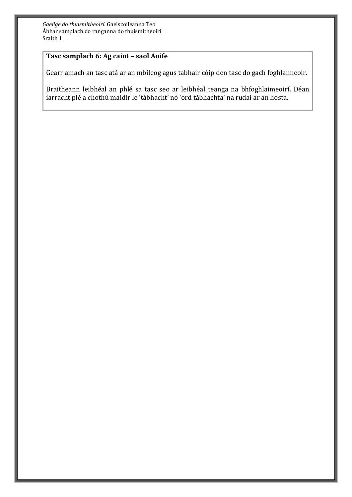## **Tasc samplach 6: Ag caint – saol Aoife**

Gearr amach an tasc atá ar an mbileog agus tabhair cóip den tasc do gach foghlaimeoir.

Braitheann leibhéal an phlé sa tasc seo ar leibhéal teanga na bhfoghlaimeoirí. Déan iarracht plé a chothú maidir le 'tábhacht' nó 'ord tábhachta' na rudaí ar an liosta.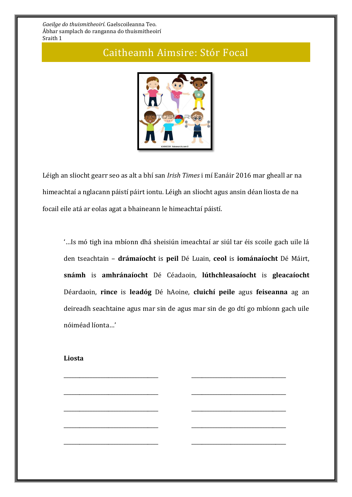# Caitheamh Aimsire: Stór Focal



Léigh an sliocht gearr seo as alt a bhí san *Irish Times* i mí Eanáir 2016 mar gheall ar na himeachtaí a nglacann páistí páirt iontu. Léigh an sliocht agus ansin déan liosta de na focail eile atá ar eolas agat a bhaineann le himeachtaí páistí.

'…Is mó tigh ina mbíonn dhá sheisiún imeachtaí ar siúl tar éis scoile gach uile lá den tseachtain – **drámaíocht** is **peil** Dé Luain, **ceol** is **iománaíocht** Dé Máirt, **snámh** is **amhránaíocht** Dé Céadaoin, **lúthchleasaíocht** is **gleacaíocht** Déardaoin, **rince** is **leadóg** Dé hAoine, **cluichí peile** agus **feiseanna** ag an deireadh seachtaine agus mar sin de agus mar sin de go dtí go mbíonn gach uile nóiméad líonta…'

\_\_\_\_\_\_\_\_\_\_\_\_\_\_\_\_\_\_\_\_\_\_\_\_\_\_\_\_\_\_\_\_\_\_\_\_ \_\_\_\_\_\_\_\_\_\_\_\_\_\_\_\_\_\_\_\_\_\_\_\_\_\_\_\_\_\_\_\_\_\_\_\_

\_\_\_\_\_\_\_\_\_\_\_\_\_\_\_\_\_\_\_\_\_\_\_\_\_\_\_\_\_\_\_\_\_\_\_\_ \_\_\_\_\_\_\_\_\_\_\_\_\_\_\_\_\_\_\_\_\_\_\_\_\_\_\_\_\_\_\_\_\_\_\_\_

\_\_\_\_\_\_\_\_\_\_\_\_\_\_\_\_\_\_\_\_\_\_\_\_\_\_\_\_\_\_\_\_\_\_\_\_ \_\_\_\_\_\_\_\_\_\_\_\_\_\_\_\_\_\_\_\_\_\_\_\_\_\_\_\_\_\_\_\_\_\_\_\_

\_\_\_\_\_\_\_\_\_\_\_\_\_\_\_\_\_\_\_\_\_\_\_\_\_\_\_\_\_\_\_\_\_\_\_\_ \_\_\_\_\_\_\_\_\_\_\_\_\_\_\_\_\_\_\_\_\_\_\_\_\_\_\_\_\_\_\_\_\_\_\_\_

\_\_\_\_\_\_\_\_\_\_\_\_\_\_\_\_\_\_\_\_\_\_\_\_\_\_\_\_\_\_\_\_\_\_\_\_ \_\_\_\_\_\_\_\_\_\_\_\_\_\_\_\_\_\_\_\_\_\_\_\_\_\_\_\_\_\_\_\_\_\_\_\_

## **Liosta**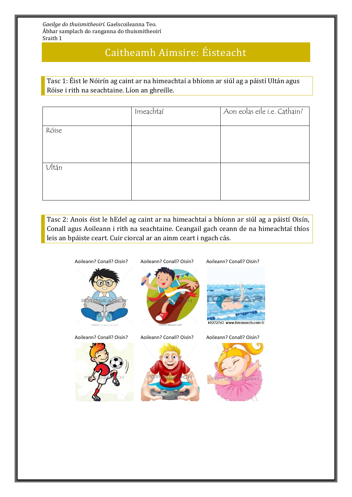# Caitheamh Aimsire: Éisteacht

Tasc 1: Éist le Nóirín ag caint ar na himeachtaí a bhíonn ar siúl ag a páistí Ultán agus Róise i rith na seachtaine. Líon an ghreille.

|       | Imeachtaí | Aon eolas eile i.e. Cathain? |
|-------|-----------|------------------------------|
|       |           |                              |
| Róise |           |                              |
|       |           |                              |
|       |           |                              |
|       |           |                              |
| Ultān |           |                              |
|       |           |                              |
|       |           |                              |
|       |           |                              |
|       |           |                              |

Tasc 2: Anois éist le hEdel ag caint ar na himeachtaí a bhíonn ar siúl ag a páistí Oisín, Conall agus Aoileann i rith na seachtaine. Ceangail gach ceann de na himeachtaí thíos leis an bpáiste ceart. Cuir ciorcal ar an ainm ceart i ngach cás.

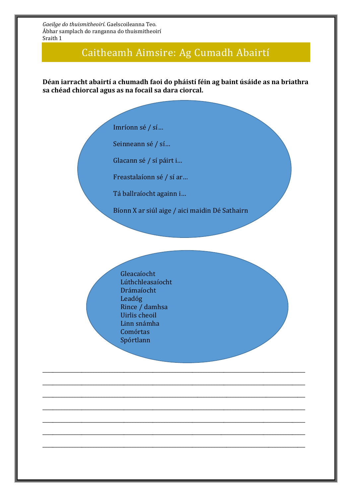# Caitheamh Aimsire: Ag Cumadh Abairtí

**Déan iarracht abairtí a chumadh faoi do pháistí féin ag baint úsáide as na briathra sa chéad chiorcal agus as na focail sa dara ciorcal.** 

Imríonn sé / sí…

Seinneann sé / sí…

Glacann sé / sí páirt i…

Freastalaíonn sé / sí ar…

Tá ballraíocht againn i…

Bíonn X ar siúl aige / aici maidin Dé Sathairn

\_\_\_\_\_\_\_\_\_\_\_\_\_\_\_\_\_\_\_\_\_\_\_\_\_\_\_\_\_\_\_\_\_\_\_\_\_\_\_\_\_\_\_\_\_\_\_\_\_\_\_\_\_\_\_\_\_\_\_\_\_\_\_\_\_\_\_\_\_\_\_\_\_\_\_\_\_\_\_\_\_\_\_\_\_\_\_\_\_\_\_\_\_\_\_\_\_\_\_\_

\_\_\_\_\_\_\_\_\_\_\_\_\_\_\_\_\_\_\_\_\_\_\_\_\_\_\_\_\_\_\_\_\_\_\_\_\_\_\_\_\_\_\_\_\_\_\_\_\_\_\_\_\_\_\_\_\_\_\_\_\_\_\_\_\_\_\_\_\_\_\_\_\_\_\_\_\_\_\_\_\_\_\_\_\_\_\_\_\_\_\_\_\_\_\_\_\_\_\_\_

\_\_\_\_\_\_\_\_\_\_\_\_\_\_\_\_\_\_\_\_\_\_\_\_\_\_\_\_\_\_\_\_\_\_\_\_\_\_\_\_\_\_\_\_\_\_\_\_\_\_\_\_\_\_\_\_\_\_\_\_\_\_\_\_\_\_\_\_\_\_\_\_\_\_\_\_\_\_\_\_\_\_\_\_\_\_\_\_\_\_\_\_\_\_\_\_\_\_\_\_

\_\_\_\_\_\_\_\_\_\_\_\_\_\_\_\_\_\_\_\_\_\_\_\_\_\_\_\_\_\_\_\_\_\_\_\_\_\_\_\_\_\_\_\_\_\_\_\_\_\_\_\_\_\_\_\_\_\_\_\_\_\_\_\_\_\_\_\_\_\_\_\_\_\_\_\_\_\_\_\_\_\_\_\_\_\_\_\_\_\_\_\_\_\_\_\_\_\_\_\_

\_\_\_\_\_\_\_\_\_\_\_\_\_\_\_\_\_\_\_\_\_\_\_\_\_\_\_\_\_\_\_\_\_\_\_\_\_\_\_\_\_\_\_\_\_\_\_\_\_\_\_\_\_\_\_\_\_\_\_\_\_\_\_\_\_\_\_\_\_\_\_\_\_\_\_\_\_\_\_\_\_\_\_\_\_\_\_\_\_\_\_\_\_\_\_\_\_\_\_\_

\_\_\_\_\_\_\_\_\_\_\_\_\_\_\_\_\_\_\_\_\_\_\_\_\_\_\_\_\_\_\_\_\_\_\_\_\_\_\_\_\_\_\_\_\_\_\_\_\_\_\_\_\_\_\_\_\_\_\_\_\_\_\_\_\_\_\_\_\_\_\_\_\_\_\_\_\_\_\_\_\_\_\_\_\_\_\_\_\_\_\_\_\_\_\_\_\_\_\_\_

\_\_\_\_\_\_\_\_\_\_\_\_\_\_\_\_\_\_\_\_\_\_\_\_\_\_\_\_\_\_\_\_\_\_\_\_\_\_\_\_\_\_\_\_\_\_\_\_\_\_\_\_\_\_\_\_\_\_\_\_\_\_\_\_\_\_\_\_\_\_\_\_\_\_\_\_\_\_\_\_\_\_\_\_\_\_\_\_\_\_\_\_\_\_\_\_\_\_\_\_

Gleacaíocht Lúthchleasaíocht Drámaíocht Leadóg Rince / damhsa Uirlis cheoil Linn snámha Comórtas Spórtlann

Imeachtaí